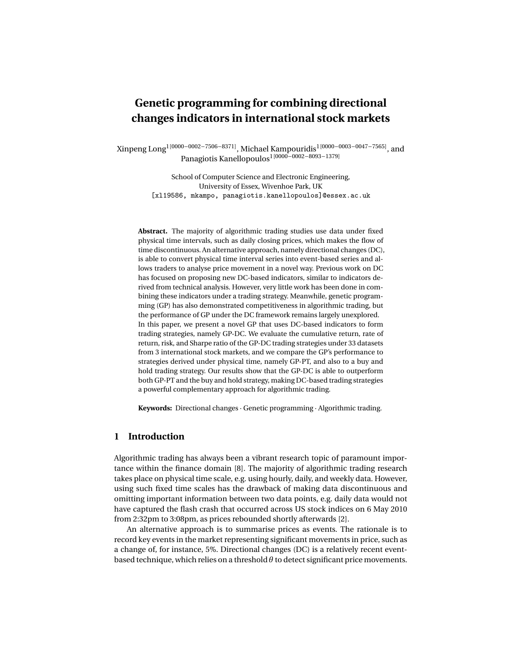# **Genetic programming for combining directional changes indicators in international stock markets**

Xinpeng Long<sup>1</sup>[0000-0002-7506-8371], Michael Kampouridis<sup>1[0000-0003-0047-7565]</sup>, and Panagiotis Kanellopoulos<sup>1[0000-0002-8093-1379]</sup>

> School of Computer Science and Electronic Engineering, University of Essex, Wivenhoe Park, UK [xl19586, mkampo, panagiotis.kanellopoulos]@essex.ac.uk

**Abstract.** The majority of algorithmic trading studies use data under fixed physical time intervals, such as daily closing prices, which makes the flow of time discontinuous. An alternative approach, namely directional changes (DC), is able to convert physical time interval series into event-based series and allows traders to analyse price movement in a novel way. Previous work on DC has focused on proposing new DC-based indicators, similar to indicators derived from technical analysis. However, very little work has been done in combining these indicators under a trading strategy. Meanwhile, genetic programming (GP) has also demonstrated competitiveness in algorithmic trading, but the performance of GP under the DC framework remains largely unexplored. In this paper, we present a novel GP that uses DC-based indicators to form trading strategies, namely GP-DC. We evaluate the cumulative return, rate of return, risk, and Sharpe ratio of the GP-DC trading strategies under 33 datasets from 3 international stock markets, and we compare the GP's performance to strategies derived under physical time, namely GP-PT, and also to a buy and hold trading strategy. Our results show that the GP-DC is able to outperform both GP-PT and the buy and hold strategy, making DC-based trading strategies a powerful complementary approach for algorithmic trading.

**Keywords:** Directional changes · Genetic programming · Algorithmic trading.

# **1 Introduction**

Algorithmic trading has always been a vibrant research topic of paramount importance within the finance domain [8]. The majority of algorithmic trading research takes place on physical time scale, e.g. using hourly, daily, and weekly data. However, using such fixed time scales has the drawback of making data discontinuous and omitting important information between two data points, e.g. daily data would not have captured the flash crash that occurred across US stock indices on 6 May 2010 from 2:32pm to 3:08pm, as prices rebounded shortly afterwards [2].

An alternative approach is to summarise prices as events. The rationale is to record key events in the market representing significant movements in price, such as a change of, for instance, 5%. Directional changes (DC) is a relatively recent eventbased technique, which relies on a threshold *θ* to detect significant price movements.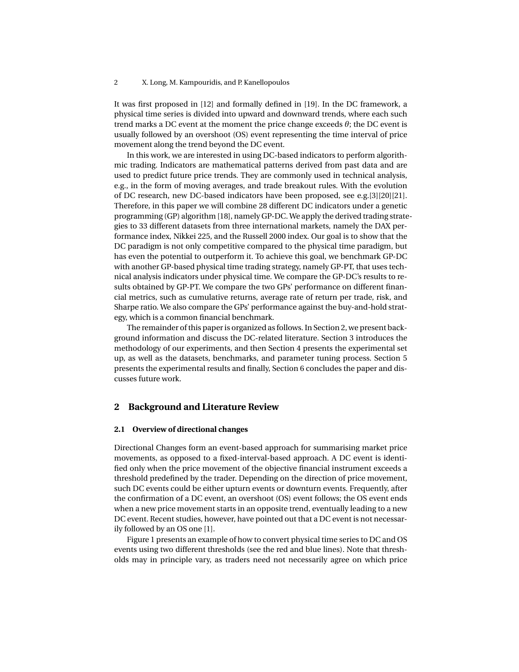It was first proposed in [12] and formally defined in [19]. In the DC framework, a physical time series is divided into upward and downward trends, where each such trend marks a DC event at the moment the price change exceeds *θ*; the DC event is usually followed by an overshoot (OS) event representing the time interval of price movement along the trend beyond the DC event.

In this work, we are interested in using DC-based indicators to perform algorithmic trading. Indicators are mathematical patterns derived from past data and are used to predict future price trends. They are commonly used in technical analysis, e.g., in the form of moving averages, and trade breakout rules. With the evolution of DC research, new DC-based indicators have been proposed, see e.g.[3][20][21]. Therefore, in this paper we will combine 28 different DC indicators under a genetic programming (GP) algorithm [18], namely GP-DC. We apply the derived trading strategies to 33 different datasets from three international markets, namely the DAX performance index, Nikkei 225, and the Russell 2000 index. Our goal is to show that the DC paradigm is not only competitive compared to the physical time paradigm, but has even the potential to outperform it. To achieve this goal, we benchmark GP-DC with another GP-based physical time trading strategy, namely GP-PT, that uses technical analysis indicators under physical time. We compare the GP-DC's results to results obtained by GP-PT. We compare the two GPs' performance on different financial metrics, such as cumulative returns, average rate of return per trade, risk, and Sharpe ratio. We also compare the GPs' performance against the buy-and-hold strategy, which is a common financial benchmark.

The remainder of this paper is organized as follows. In Section 2, we present background information and discuss the DC-related literature. Section 3 introduces the methodology of our experiments, and then Section 4 presents the experimental set up, as well as the datasets, benchmarks, and parameter tuning process. Section 5 presents the experimental results and finally, Section 6 concludes the paper and discusses future work.

# **2 Background and Literature Review**

## **2.1 Overview of directional changes**

Directional Changes form an event-based approach for summarising market price movements, as opposed to a fixed-interval-based approach. A DC event is identified only when the price movement of the objective financial instrument exceeds a threshold predefined by the trader. Depending on the direction of price movement, such DC events could be either upturn events or downturn events. Frequently, after the confirmation of a DC event, an overshoot (OS) event follows; the OS event ends when a new price movement starts in an opposite trend, eventually leading to a new DC event. Recent studies, however, have pointed out that a DC event is not necessarily followed by an OS one [1].

Figure 1 presents an example of how to convert physical time series to DC and OS events using two different thresholds (see the red and blue lines). Note that thresholds may in principle vary, as traders need not necessarily agree on which price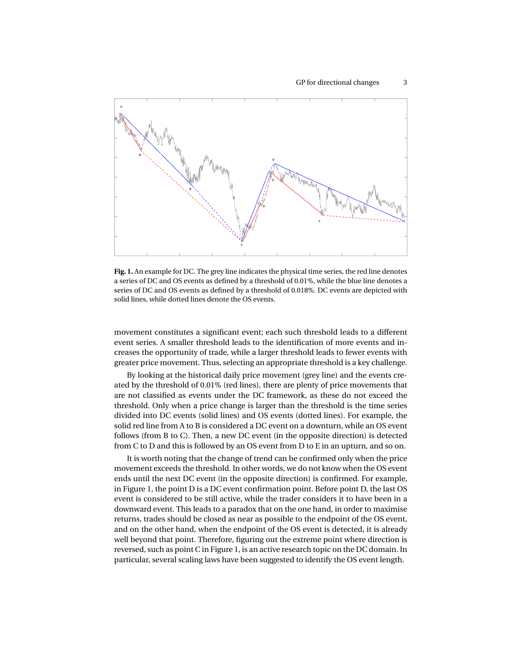

**Fig. 1.** An example for DC. The grey line indicates the physical time series, the red line denotes a series of DC and OS events as defined by a threshold of 0.01%, while the blue line denotes a series of DC and OS events as defined by a threshold of 0.018%. DC events are depicted with solid lines, while dotted lines denote the OS events.

movement constitutes a significant event; each such threshold leads to a different event series. A smaller threshold leads to the identification of more events and increases the opportunity of trade, while a larger threshold leads to fewer events with greater price movement. Thus, selecting an appropriate threshold is a key challenge.

By looking at the historical daily price movement (grey line) and the events created by the threshold of 0.01% (red lines), there are plenty of price movements that are not classified as events under the DC framework, as these do not exceed the threshold. Only when a price change is larger than the threshold is the time series divided into DC events (solid lines) and OS events (dotted lines). For example, the solid red line from A to B is considered a DC event on a downturn, while an OS event follows (from B to C). Then, a new DC event (in the opposite direction) is detected from C to D and this is followed by an OS event from D to E in an upturn, and so on.

It is worth noting that the change of trend can be confirmed only when the price movement exceeds the threshold. In other words, we do not know when the OS event ends until the next DC event (in the opposite direction) is confirmed. For example, in Figure 1, the point D is a DC event confirmation point. Before point D, the last OS event is considered to be still active, while the trader considers it to have been in a downward event. This leads to a paradox that on the one hand, in order to maximise returns, trades should be closed as near as possible to the endpoint of the OS event, and on the other hand, when the endpoint of the OS event is detected, it is already well beyond that point. Therefore, figuring out the extreme point where direction is reversed, such as point C in Figure 1, is an active research topic on the DC domain. In particular, several scaling laws have been suggested to identify the OS event length.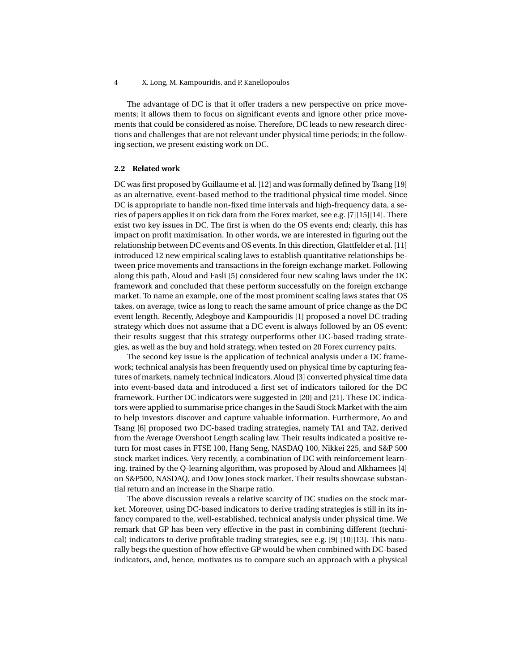The advantage of DC is that it offer traders a new perspective on price movements; it allows them to focus on significant events and ignore other price movements that could be considered as noise. Therefore, DC leads to new research directions and challenges that are not relevant under physical time periods; in the following section, we present existing work on DC.

#### **2.2 Related work**

DC was first proposed by Guillaume et al. [12] and was formally defined by Tsang [19] as an alternative, event-based method to the traditional physical time model. Since DC is appropriate to handle non-fixed time intervals and high-frequency data, a series of papers applies it on tick data from the Forex market, see e.g. [7][15][14]. There exist two key issues in DC. The first is when do the OS events end; clearly, this has impact on profit maximisation. In other words, we are interested in figuring out the relationship between DC events and OS events. In this direction, Glattfelder et al. [11] introduced 12 new empirical scaling laws to establish quantitative relationships between price movements and transactions in the foreign exchange market. Following along this path, Aloud and Fasli [5] considered four new scaling laws under the DC framework and concluded that these perform successfully on the foreign exchange market. To name an example, one of the most prominent scaling laws states that OS takes, on average, twice as long to reach the same amount of price change as the DC event length. Recently, Adegboye and Kampouridis [1] proposed a novel DC trading strategy which does not assume that a DC event is always followed by an OS event; their results suggest that this strategy outperforms other DC-based trading strategies, as well as the buy and hold strategy, when tested on 20 Forex currency pairs.

The second key issue is the application of technical analysis under a DC framework; technical analysis has been frequently used on physical time by capturing features of markets, namely technical indicators. Aloud [3] converted physical time data into event-based data and introduced a first set of indicators tailored for the DC framework. Further DC indicators were suggested in [20] and [21]. These DC indicators were applied to summarise price changes in the Saudi Stock Market with the aim to help investors discover and capture valuable information. Furthermore, Ao and Tsang [6] proposed two DC-based trading strategies, namely TA1 and TA2, derived from the Average Overshoot Length scaling law. Their results indicated a positive return for most cases in FTSE 100, Hang Seng, NASDAQ 100, Nikkei 225, and S&P 500 stock market indices. Very recently, a combination of DC with reinforcement learning, trained by the Q-learning algorithm, was proposed by Aloud and Alkhamees [4] on S&P500, NASDAQ, and Dow Jones stock market. Their results showcase substantial return and an increase in the Sharpe ratio.

The above discussion reveals a relative scarcity of DC studies on the stock market. Moreover, using DC-based indicators to derive trading strategies is still in its infancy compared to the, well-established, technical analysis under physical time. We remark that GP has been very effective in the past in combining different (technical) indicators to derive profitable trading strategies, see e.g. [9] [10][13]. This naturally begs the question of how effective GP would be when combined with DC-based indicators, and, hence, motivates us to compare such an approach with a physical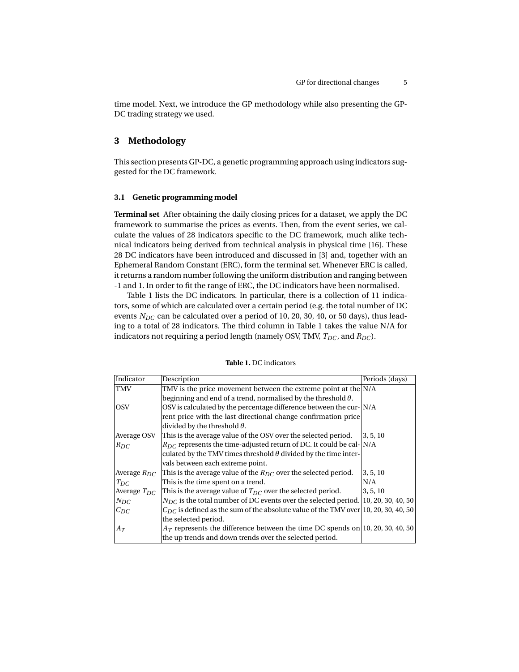time model. Next, we introduce the GP methodology while also presenting the GP-DC trading strategy we used.

# **3 Methodology**

This section presents GP-DC, a genetic programming approach using indicators suggested for the DC framework.

### **3.1 Genetic programming model**

**Terminal set** After obtaining the daily closing prices for a dataset, we apply the DC framework to summarise the prices as events. Then, from the event series, we calculate the values of 28 indicators specific to the DC framework, much alike technical indicators being derived from technical analysis in physical time [16]. These 28 DC indicators have been introduced and discussed in [3] and, together with an Ephemeral Random Constant (ERC), form the terminal set. Whenever ERC is called, it returns a random number following the uniform distribution and ranging between -1 and 1. In order to fit the range of ERC, the DC indicators have been normalised.

Table 1 lists the DC indicators. In particular, there is a collection of 11 indicators, some of which are calculated over a certain period (e.g. the total number of DC events *NDC* can be calculated over a period of 10, 20, 30, 40, or 50 days), thus leading to a total of 28 indicators. The third column in Table 1 takes the value N/A for indicators not requiring a period length (namely OSV, TMV, *TDC* , and *RDC* ).

| Indicator        | Description                                                                               | Periods (days) |
|------------------|-------------------------------------------------------------------------------------------|----------------|
| <b>TMV</b>       | TMV is the price movement between the extreme point at the $N/A$                          |                |
|                  | beginning and end of a trend, normalised by the threshold $\theta$ .                      |                |
| <b>OSV</b>       | OSV is calculated by the percentage difference between the cur- N/A                       |                |
|                  | rent price with the last directional change confirmation price                            |                |
|                  | divided by the threshold $\theta$ .                                                       |                |
| Average OSV      | This is the average value of the OSV over the selected period.                            | 3, 5, 10       |
| $R_{DC}$         | $R_{DC}$ represents the time-adjusted return of DC. It could be cal- $N/A$                |                |
|                  | culated by the TMV times threshold $\theta$ divided by the time inter-                    |                |
|                  | vals between each extreme point.                                                          |                |
| Average $R_{DC}$ | This is the average value of the $R_{DC}$ over the selected period.                       | 3, 5, 10       |
| $T_{DC}$         | This is the time spent on a trend.                                                        | N/A            |
| Average $T_{DC}$ | This is the average value of $T_{DC}$ over the selected period.                           | 3, 5, 10       |
| $N_{DC}$         | $N_{DC}$ is the total number of DC events over the selected period. 10, 20, 30, 40, 50    |                |
| $C_{DC}$         | $C_{DC}$ is defined as the sum of the absolute value of the TMV over [10, 20, 30, 40, 50] |                |
|                  | the selected period.                                                                      |                |
| $A_T$            | $A_T$ represents the difference between the time DC spends on 10, 20, 30, 40, 50          |                |
|                  | the up trends and down trends over the selected period.                                   |                |

**Table 1.** DC indicators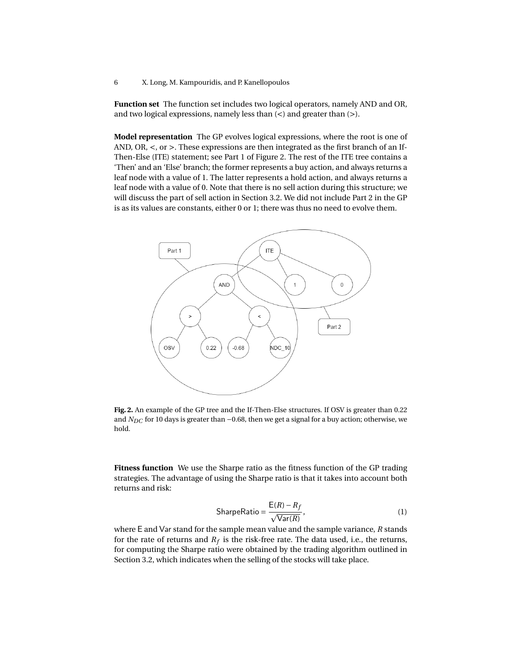**Function set** The function set includes two logical operators, namely AND and OR, and two logical expressions, namely less than (<) and greater than (>).

**Model representation** The GP evolves logical expressions, where the root is one of AND, OR, <, or >. These expressions are then integrated as the first branch of an If-Then-Else (ITE) statement; see Part 1 of Figure 2. The rest of the ITE tree contains a 'Then' and an 'Else' branch; the former represents a buy action, and always returns a leaf node with a value of 1. The latter represents a hold action, and always returns a leaf node with a value of 0. Note that there is no sell action during this structure; we will discuss the part of sell action in Section 3.2. We did not include Part 2 in the GP is as its values are constants, either 0 or 1; there was thus no need to evolve them.



**Fig. 2.** An example of the GP tree and the If-Then-Else structures. If OSV is greater than 0.22 and *NDC* for 10 days is greater than −0.68, then we get a signal for a buy action; otherwise, we hold.

**Fitness function** We use the Sharpe ratio as the fitness function of the GP trading strategies. The advantage of using the Sharpe ratio is that it takes into account both returns and risk:

$$
SharpeRatio = \frac{E(R) - R_f}{\sqrt{Var(R)}},
$$
\n(1)

where E and Var stand for the sample mean value and the sample variance, *R* stands for the rate of returns and  $R_f$  is the risk-free rate. The data used, i.e., the returns, for computing the Sharpe ratio were obtained by the trading algorithm outlined in Section 3.2, which indicates when the selling of the stocks will take place.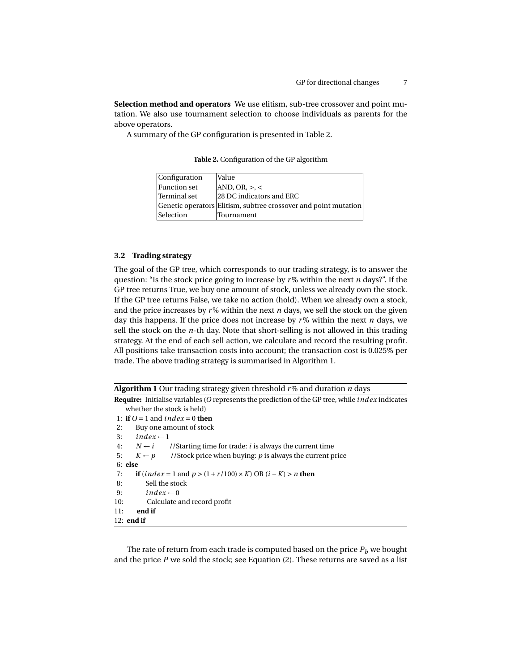**Selection method and operators** We use elitism, sub-tree crossover and point mutation. We also use tournament selection to choose individuals as parents for the above operators.

A summary of the GP configuration is presented in Table 2.

**Table 2.** Configuration of the GP algorithm

| Configuration | Value                                                           |
|---------------|-----------------------------------------------------------------|
| Function set  | AND, OR, >, <                                                   |
| Terminal set  | 28 DC indicators and ERC                                        |
|               | Genetic operators Elitism, subtree crossover and point mutation |
| Selection     | Tournament                                                      |

## **3.2 Trading strategy**

The goal of the GP tree, which corresponds to our trading strategy, is to answer the question: "Is the stock price going to increase by *r* % within the next *n* days?". If the GP tree returns True, we buy one amount of stock, unless we already own the stock. If the GP tree returns False, we take no action (hold). When we already own a stock, and the price increases by  $r\%$  within the next  $n$  days, we sell the stock on the given day this happens. If the price does not increase by  $r$ % within the next  $n$  days, we sell the stock on the *n*-th day. Note that short-selling is not allowed in this trading strategy. At the end of each sell action, we calculate and record the resulting profit. All positions take transaction costs into account; the transaction cost is 0.025% per trade. The above trading strategy is summarised in Algorithm 1.

| <b>Algorithm 1</b> Our trading strategy given threshold $r$ % and duration $n$ days |  |  |  |  |
|-------------------------------------------------------------------------------------|--|--|--|--|
|-------------------------------------------------------------------------------------|--|--|--|--|

| <b>Require:</b> Initialise variables (O represents the prediction of the GP tree, while <i>index</i> indicates |
|----------------------------------------------------------------------------------------------------------------|
|                                                                                                                |
|                                                                                                                |
|                                                                                                                |
|                                                                                                                |
|                                                                                                                |
|                                                                                                                |
|                                                                                                                |
|                                                                                                                |
|                                                                                                                |
|                                                                                                                |
|                                                                                                                |
|                                                                                                                |
|                                                                                                                |
|                                                                                                                |

The rate of return from each trade is computed based on the price  $P_b$  we bought and the price *P* we sold the stock; see Equation (2). These returns are saved as a list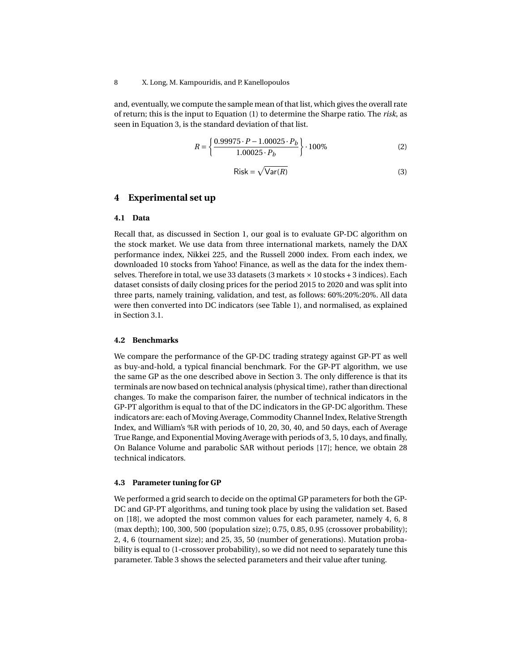and, eventually, we compute the sample mean of that list, which gives the overall rate of return; this is the input to Equation (1) to determine the Sharpe ratio. The *risk*, as seen in Equation 3, is the standard deviation of that list.

$$
R = \left\{ \frac{0.99975 \cdot P - 1.00025 \cdot P_b}{1.00025 \cdot P_b} \right\} \cdot 100\%
$$
 (2)

$$
Risk = \sqrt{Var(R)}
$$
 (3)

# **4 Experimental set up**

## **4.1 Data**

Recall that, as discussed in Section 1, our goal is to evaluate GP-DC algorithm on the stock market. We use data from three international markets, namely the DAX performance index, Nikkei 225, and the Russell 2000 index. From each index, we downloaded 10 stocks from Yahoo! Finance, as well as the data for the index themselves. Therefore in total, we use 33 datasets (3 markets  $\times$  10 stocks + 3 indices). Each dataset consists of daily closing prices for the period 2015 to 2020 and was split into three parts, namely training, validation, and test, as follows: 60%:20%:20%. All data were then converted into DC indicators (see Table 1), and normalised, as explained in Section 3.1.

#### **4.2 Benchmarks**

We compare the performance of the GP-DC trading strategy against GP-PT as well as buy-and-hold, a typical financial benchmark. For the GP-PT algorithm, we use the same GP as the one described above in Section 3. The only difference is that its terminals are now based on technical analysis (physical time), rather than directional changes. To make the comparison fairer, the number of technical indicators in the GP-PT algorithm is equal to that of the DC indicators in the GP-DC algorithm. These indicators are: each of Moving Average, Commodity Channel Index, Relative Strength Index, and William's %R with periods of 10, 20, 30, 40, and 50 days, each of Average True Range, and Exponential Moving Average with periods of 3, 5, 10 days, and finally, On Balance Volume and parabolic SAR without periods [17]; hence, we obtain 28 technical indicators.

#### **4.3 Parameter tuning for GP**

We performed a grid search to decide on the optimal GP parameters for both the GP-DC and GP-PT algorithms, and tuning took place by using the validation set. Based on [18], we adopted the most common values for each parameter, namely 4, 6, 8 (max depth); 100, 300, 500 (population size); 0.75, 0.85, 0.95 (crossover probability); 2, 4, 6 (tournament size); and 25, 35, 50 (number of generations). Mutation probability is equal to (1-crossover probability), so we did not need to separately tune this parameter. Table 3 shows the selected parameters and their value after tuning.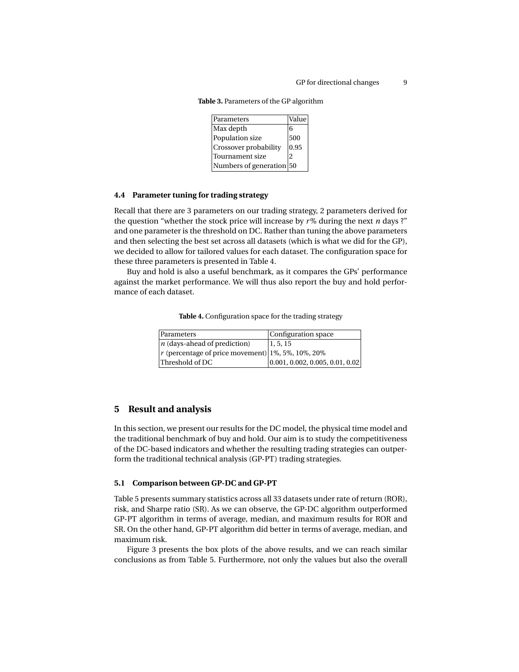|  |  | <b>Table 3.</b> Parameters of the GP algorithm |  |  |  |
|--|--|------------------------------------------------|--|--|--|
|--|--|------------------------------------------------|--|--|--|

| Parameters               | Value          |  |
|--------------------------|----------------|--|
| Max depth                | 6              |  |
| Population size          | 500            |  |
| Crossover probability    | 0.95           |  |
| Tournament size          | $\overline{c}$ |  |
| Numbers of generation 50 |                |  |

## **4.4 Parameter tuning for trading strategy**

Recall that there are 3 parameters on our trading strategy, 2 parameters derived for the question "whether the stock price will increase by *r* % during the next *n* days ?" and one parameter is the threshold on DC. Rather than tuning the above parameters and then selecting the best set across all datasets (which is what we did for the GP), we decided to allow for tailored values for each dataset. The configuration space for these three parameters is presented in Table 4.

Buy and hold is also a useful benchmark, as it compares the GPs' performance against the market performance. We will thus also report the buy and hold performance of each dataset.

|  |  |  |  |  |  |  |  | <b>Table 4.</b> Configuration space for the trading strategy |
|--|--|--|--|--|--|--|--|--------------------------------------------------------------|
|--|--|--|--|--|--|--|--|--------------------------------------------------------------|

| Parameters                                                    | Configuration space               |
|---------------------------------------------------------------|-----------------------------------|
| $n$ (days-ahead of prediction)                                | 1, 5, 15                          |
| $\vert r$ (percentage of price movement) 1\%, 5\%, 10\%, 20\% |                                   |
| Threshold of DC                                               | [0.001, 0.002, 0.005, 0.01, 0.02] |

## **5 Result and analysis**

In this section, we present our results for the DC model, the physical time model and the traditional benchmark of buy and hold. Our aim is to study the competitiveness of the DC-based indicators and whether the resulting trading strategies can outperform the traditional technical analysis (GP-PT) trading strategies.

#### **5.1 Comparison between GP-DC and GP-PT**

Table 5 presents summary statistics across all 33 datasets under rate of return (ROR), risk, and Sharpe ratio (SR). As we can observe, the GP-DC algorithm outperformed GP-PT algorithm in terms of average, median, and maximum results for ROR and SR. On the other hand, GP-PT algorithm did better in terms of average, median, and maximum risk.

Figure 3 presents the box plots of the above results, and we can reach similar conclusions as from Table 5. Furthermore, not only the values but also the overall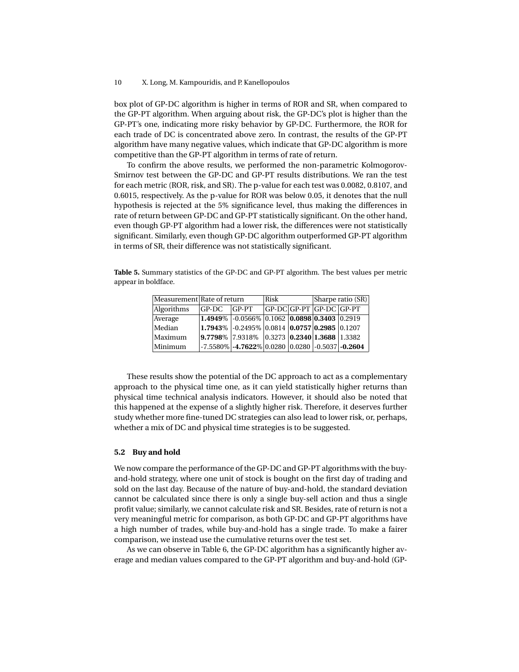box plot of GP-DC algorithm is higher in terms of ROR and SR, when compared to the GP-PT algorithm. When arguing about risk, the GP-DC's plot is higher than the GP-PT's one, indicating more risky behavior by GP-DC. Furthermore, the ROR for each trade of DC is concentrated above zero. In contrast, the results of the GP-PT algorithm have many negative values, which indicate that GP-DC algorithm is more competitive than the GP-PT algorithm in terms of rate of return.

To confirm the above results, we performed the non-parametric Kolmogorov-Smirnov test between the GP-DC and GP-PT results distributions. We ran the test for each metric (ROR, risk, and SR). The p-value for each test was 0.0082, 0.8107, and 0.6015, respectively. As the p-value for ROR was below 0.05, it denotes that the null hypothesis is rejected at the 5% significance level, thus making the differences in rate of return between GP-DC and GP-PT statistically significant. On the other hand, even though GP-PT algorithm had a lower risk, the differences were not statistically significant. Similarly, even though GP-DC algorithm outperformed GP-PT algorithm in terms of SR, their difference was not statistically significant.

**Table 5.** Summary statistics of the GP-DC and GP-PT algorithm. The best values per metric appear in boldface.

| Measurement Rate of return |            |                                                                                                  | Risk | Sharpe ratio (SR)    |  |  |
|----------------------------|------------|--------------------------------------------------------------------------------------------------|------|----------------------|--|--|
| Algorithms                 | $G_{P-DC}$ | $G_{\rm P-PT}$                                                                                   |      | GP-DCGP-PTGP-DCGP-PT |  |  |
| Average                    |            | $\vert$ 1.4949% $\vert$ -0.0566% $\vert$ 0.1062 $\vert$ 0.0898 $\vert$ 0.3403 $\vert$ 0.2919     |      |                      |  |  |
| Median                     |            | $\vert$ 1.7943% $\vert$ -0.2495% $\vert$ 0.0814 $\vert$ 0.0757 $\vert$ 0.2985 $\vert$ 0.1207     |      |                      |  |  |
| Maximum                    |            | $ 9.7798\% 7.9318\% 0.3273 0.2340 1.3688 1.3382$                                                 |      |                      |  |  |
| Minimum                    |            | $\left  -7.5580\% \right  -4.7622\% \left  0.0280 \right  0.0280 \left  -0.5037 \right  -0.2604$ |      |                      |  |  |

These results show the potential of the DC approach to act as a complementary approach to the physical time one, as it can yield statistically higher returns than physical time technical analysis indicators. However, it should also be noted that this happened at the expense of a slightly higher risk. Therefore, it deserves further study whether more fine-tuned DC strategies can also lead to lower risk, or, perhaps, whether a mix of DC and physical time strategies is to be suggested.

#### **5.2 Buy and hold**

We now compare the performance of the GP-DC and GP-PT algorithms with the buyand-hold strategy, where one unit of stock is bought on the first day of trading and sold on the last day. Because of the nature of buy-and-hold, the standard deviation cannot be calculated since there is only a single buy-sell action and thus a single profit value; similarly, we cannot calculate risk and SR. Besides, rate of return is not a very meaningful metric for comparison, as both GP-DC and GP-PT algorithms have a high number of trades, while buy-and-hold has a single trade. To make a fairer comparison, we instead use the cumulative returns over the test set.

As we can observe in Table 6, the GP-DC algorithm has a significantly higher average and median values compared to the GP-PT algorithm and buy-and-hold (GP-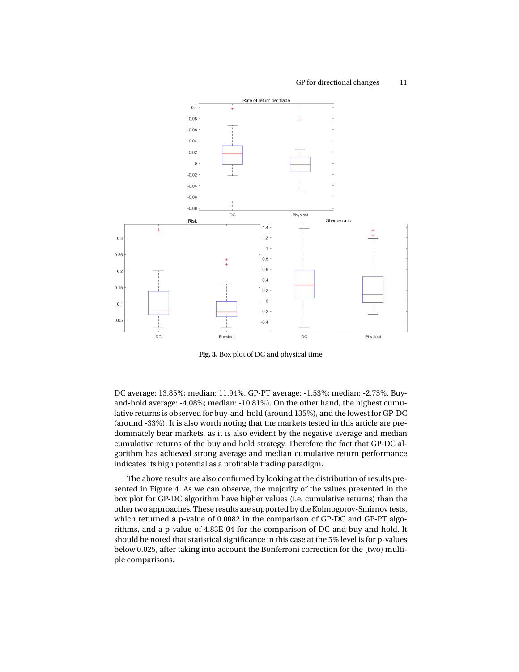

**Fig. 3.** Box plot of DC and physical time

DC average: 13.85%; median: 11.94%. GP-PT average: -1.53%; median: -2.73%. Buyand-hold average: -4.08%; median: -10.81%). On the other hand, the highest cumulative returns is observed for buy-and-hold (around 135%), and the lowest for GP-DC (around -33%). It is also worth noting that the markets tested in this article are predominately bear markets, as it is also evident by the negative average and median cumulative returns of the buy and hold strategy. Therefore the fact that GP-DC algorithm has achieved strong average and median cumulative return performance indicates its high potential as a profitable trading paradigm.

The above results are also confirmed by looking at the distribution of results presented in Figure 4. As we can observe, the majority of the values presented in the box plot for GP-DC algorithm have higher values (i.e. cumulative returns) than the other two approaches. These results are supported by the Kolmogorov-Smirnov tests, which returned a p-value of 0.0082 in the comparison of GP-DC and GP-PT algorithms, and a p-value of 4.83E-04 for the comparison of DC and buy-and-hold. It should be noted that statistical significance in this case at the 5% level is for p-values below 0.025, after taking into account the Bonferroni correction for the (two) multiple comparisons.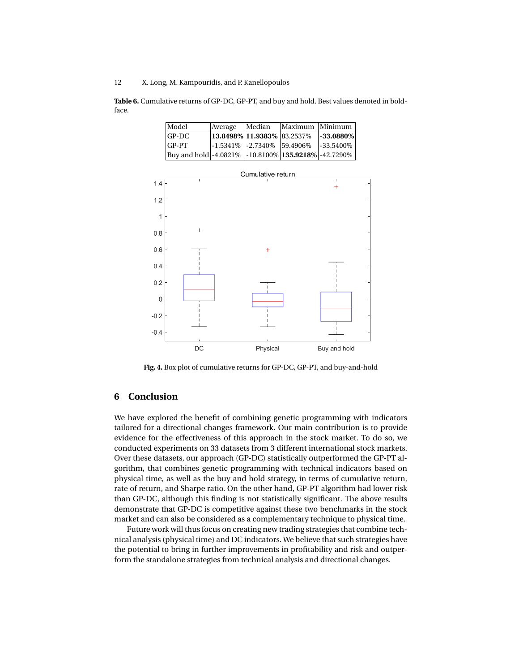**Table 6.** Cumulative returns of GP-DC, GP-PT, and buy and hold. Best values denoted in boldface.

| Model                                               | Average | Median                               | Maximum Minimum |              |
|-----------------------------------------------------|---------|--------------------------------------|-----------------|--------------|
| GPLDC                                               |         | $ 13.8498\% 11.9383\% 83.2537\%$     |                 | $-33.0880\%$ |
| $GP-PT$                                             |         | $-1.5341\%$ $-2.7340\%$ $159.4906\%$ |                 | $-33.5400\%$ |
| Buy and hold -4.0821% -10.8100% 135.9218% -42.7290% |         |                                      |                 |              |



**Fig. 4.** Box plot of cumulative returns for GP-DC, GP-PT, and buy-and-hold

# **6 Conclusion**

We have explored the benefit of combining genetic programming with indicators tailored for a directional changes framework. Our main contribution is to provide evidence for the effectiveness of this approach in the stock market. To do so, we conducted experiments on 33 datasets from 3 different international stock markets. Over these datasets, our approach (GP-DC) statistically outperformed the GP-PT algorithm, that combines genetic programming with technical indicators based on physical time, as well as the buy and hold strategy, in terms of cumulative return, rate of return, and Sharpe ratio. On the other hand, GP-PT algorithm had lower risk than GP-DC, although this finding is not statistically significant. The above results demonstrate that GP-DC is competitive against these two benchmarks in the stock market and can also be considered as a complementary technique to physical time.

Future work will thus focus on creating new trading strategies that combine technical analysis (physical time) and DC indicators. We believe that such strategies have the potential to bring in further improvements in profitability and risk and outperform the standalone strategies from technical analysis and directional changes.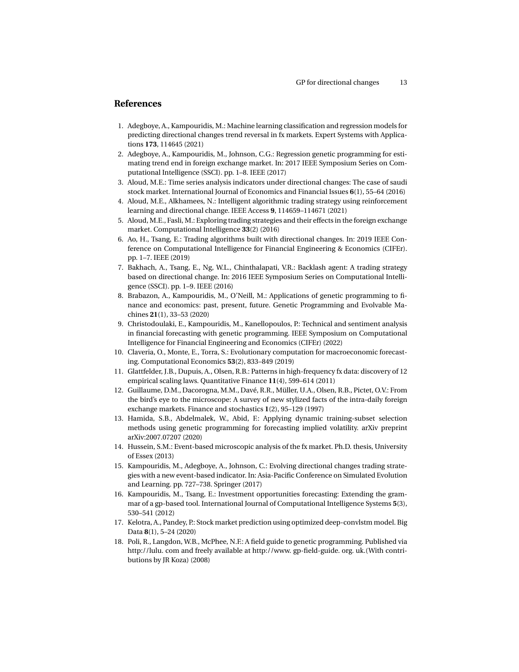# **References**

- 1. Adegboye, A., Kampouridis, M.: Machine learning classification and regression models for predicting directional changes trend reversal in fx markets. Expert Systems with Applications **173**, 114645 (2021)
- 2. Adegboye, A., Kampouridis, M., Johnson, C.G.: Regression genetic programming for estimating trend end in foreign exchange market. In: 2017 IEEE Symposium Series on Computational Intelligence (SSCI). pp. 1–8. IEEE (2017)
- 3. Aloud, M.E.: Time series analysis indicators under directional changes: The case of saudi stock market. International Journal of Economics and Financial Issues **6**(1), 55–64 (2016)
- 4. Aloud, M.E., Alkhamees, N.: Intelligent algorithmic trading strategy using reinforcement learning and directional change. IEEE Access **9**, 114659–114671 (2021)
- 5. Aloud, M.E., Fasli, M.: Exploring trading strategies and their effects in the foreign exchange market. Computational Intelligence **33**(2) (2016)
- 6. Ao, H., Tsang, E.: Trading algorithms built with directional changes. In: 2019 IEEE Conference on Computational Intelligence for Financial Engineering & Economics (CIFEr). pp. 1–7. IEEE (2019)
- 7. Bakhach, A., Tsang, E., Ng, W.L., Chinthalapati, V.R.: Backlash agent: A trading strategy based on directional change. In: 2016 IEEE Symposium Series on Computational Intelligence (SSCI). pp. 1–9. IEEE (2016)
- 8. Brabazon, A., Kampouridis, M., O'Neill, M.: Applications of genetic programming to finance and economics: past, present, future. Genetic Programming and Evolvable Machines **21**(1), 33–53 (2020)
- 9. Christodoulaki, E., Kampouridis, M., Kanellopoulos, P.: Technical and sentiment analysis in financial forecasting with genetic programming. IEEE Symposium on Computational Intelligence for Financial Engineering and Economics (CIFEr) (2022)
- 10. Claveria, O., Monte, E., Torra, S.: Evolutionary computation for macroeconomic forecasting. Computational Economics **53**(2), 833–849 (2019)
- 11. Glattfelder, J.B., Dupuis, A., Olsen, R.B.: Patterns in high-frequency fx data: discovery of 12 empirical scaling laws. Quantitative Finance **11**(4), 599–614 (2011)
- 12. Guillaume, D.M., Dacorogna, M.M., Davé, R.R., Müller, U.A., Olsen, R.B., Pictet, O.V.: From the bird's eye to the microscope: A survey of new stylized facts of the intra-daily foreign exchange markets. Finance and stochastics **1**(2), 95–129 (1997)
- 13. Hamida, S.B., Abdelmalek, W., Abid, F.: Applying dynamic training-subset selection methods using genetic programming for forecasting implied volatility. arXiv preprint arXiv:2007.07207 (2020)
- 14. Hussein, S.M.: Event-based microscopic analysis of the fx market. Ph.D. thesis, University of Essex (2013)
- 15. Kampouridis, M., Adegboye, A., Johnson, C.: Evolving directional changes trading strategies with a new event-based indicator. In: Asia-Pacific Conference on Simulated Evolution and Learning. pp. 727–738. Springer (2017)
- 16. Kampouridis, M., Tsang, E.: Investment opportunities forecasting: Extending the grammar of a gp-based tool. International Journal of Computational Intelligence Systems **5**(3), 530–541 (2012)
- 17. Kelotra, A., Pandey, P.: Stock market prediction using optimized deep-convlstm model. Big Data **8**(1), 5–24 (2020)
- 18. Poli, R., Langdon, W.B., McPhee, N.F.: A field guide to genetic programming. Published via http://lulu. com and freely available at http://www. gp-field-guide. org. uk.(With contributions by JR Koza) (2008)